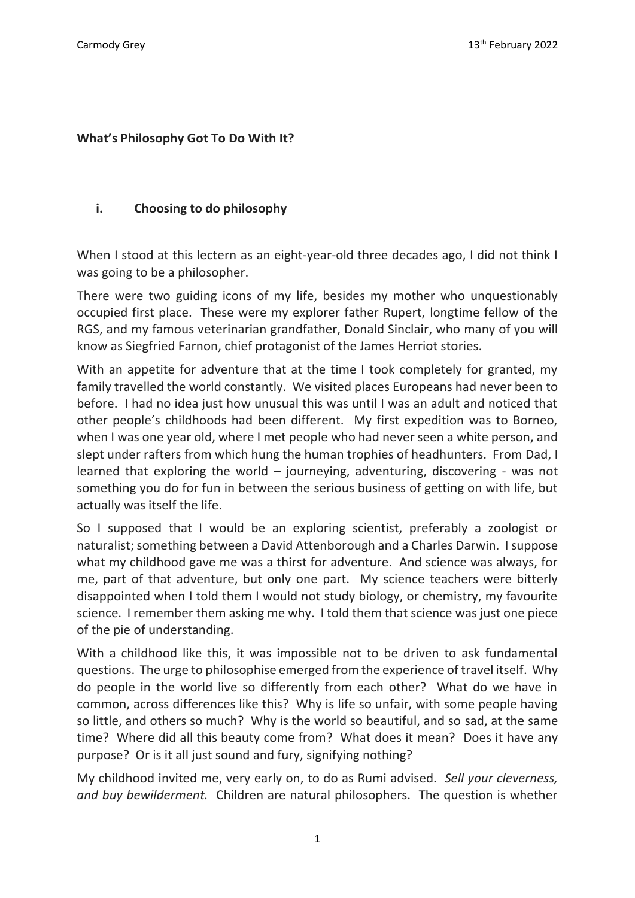#### **What's Philosophy Got To Do With It?**

#### **i. Choosing to do philosophy**

When I stood at this lectern as an eight-year-old three decades ago, I did not think I was going to be a philosopher.

There were two guiding icons of my life, besides my mother who unquestionably occupied first place. These were my explorer father Rupert, longtime fellow of the RGS, and my famous veterinarian grandfather, Donald Sinclair, who many of you will know as Siegfried Farnon, chief protagonist of the James Herriot stories.

With an appetite for adventure that at the time I took completely for granted, my family travelled the world constantly. We visited places Europeans had never been to before. I had no idea just how unusual this was until I was an adult and noticed that other people's childhoods had been different. My first expedition was to Borneo, when I was one year old, where I met people who had never seen a white person, and slept under rafters from which hung the human trophies of headhunters. From Dad, I learned that exploring the world – journeying, adventuring, discovering - was not something you do for fun in between the serious business of getting on with life, but actually was itself the life.

So I supposed that I would be an exploring scientist, preferably a zoologist or naturalist; something between a David Attenborough and a Charles Darwin. I suppose what my childhood gave me was a thirst for adventure. And science was always, for me, part of that adventure, but only one part. My science teachers were bitterly disappointed when I told them I would not study biology, or chemistry, my favourite science. I remember them asking me why. I told them that science was just one piece of the pie of understanding.

With a childhood like this, it was impossible not to be driven to ask fundamental questions. The urge to philosophise emerged from the experience of travel itself. Why do people in the world live so differently from each other? What do we have in common, across differences like this? Why is life so unfair, with some people having so little, and others so much? Why is the world so beautiful, and so sad, at the same time? Where did all this beauty come from? What does it mean? Does it have any purpose? Or is it all just sound and fury, signifying nothing?

My childhood invited me, very early on, to do as Rumi advised. *Sell your cleverness, and buy bewilderment.* Children are natural philosophers. The question is whether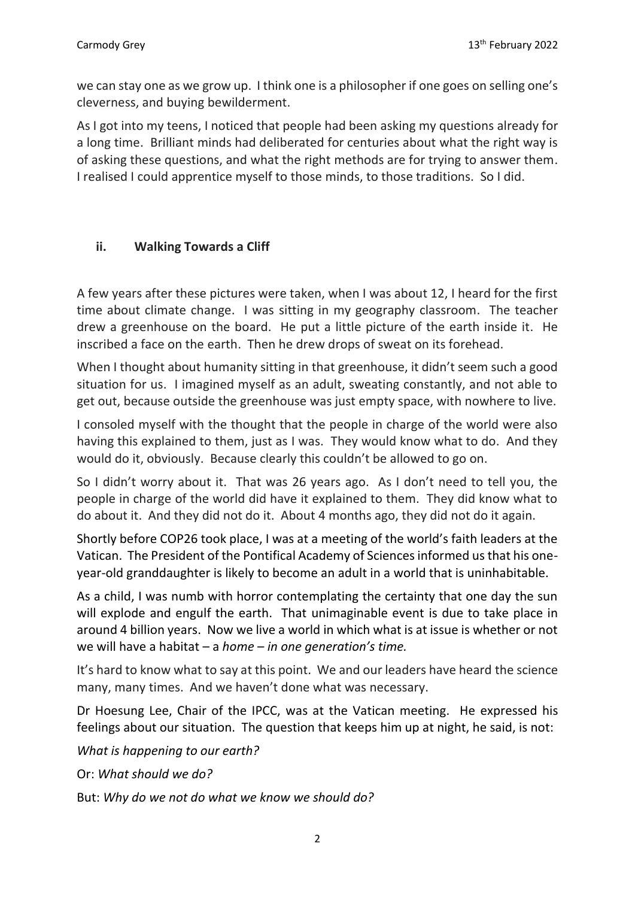we can stay one as we grow up. I think one is a philosopher if one goes on selling one's cleverness, and buying bewilderment.

As I got into my teens, I noticed that people had been asking my questions already for a long time. Brilliant minds had deliberated for centuries about what the right way is of asking these questions, and what the right methods are for trying to answer them. I realised I could apprentice myself to those minds, to those traditions. So I did.

# **ii. Walking Towards a Cliff**

A few years after these pictures were taken, when I was about 12, I heard for the first time about climate change. I was sitting in my geography classroom. The teacher drew a greenhouse on the board. He put a little picture of the earth inside it. He inscribed a face on the earth. Then he drew drops of sweat on its forehead.

When I thought about humanity sitting in that greenhouse, it didn't seem such a good situation for us. I imagined myself as an adult, sweating constantly, and not able to get out, because outside the greenhouse was just empty space, with nowhere to live.

I consoled myself with the thought that the people in charge of the world were also having this explained to them, just as I was. They would know what to do. And they would do it, obviously. Because clearly this couldn't be allowed to go on.

So I didn't worry about it. That was 26 years ago. As I don't need to tell you, the people in charge of the world did have it explained to them. They did know what to do about it. And they did not do it. About 4 months ago, they did not do it again.

Shortly before COP26 took place, I was at a meeting of the world's faith leaders at the Vatican. The President of the Pontifical Academy of Sciences informed us that his oneyear-old granddaughter is likely to become an adult in a world that is uninhabitable.

As a child, I was numb with horror contemplating the certainty that one day the sun will explode and engulf the earth. That unimaginable event is due to take place in around 4 billion years. Now we live a world in which what is at issue is whether or not we will have a habitat – a *home* – *in one generation's time.* 

It's hard to know what to say at this point. We and our leaders have heard the science many, many times. And we haven't done what was necessary.

Dr Hoesung Lee, Chair of the IPCC, was at the Vatican meeting. He expressed his feelings about our situation. The question that keeps him up at night, he said, is not:

*What is happening to our earth?*

Or: *What should we do?*

But: *Why do we not do what we know we should do?*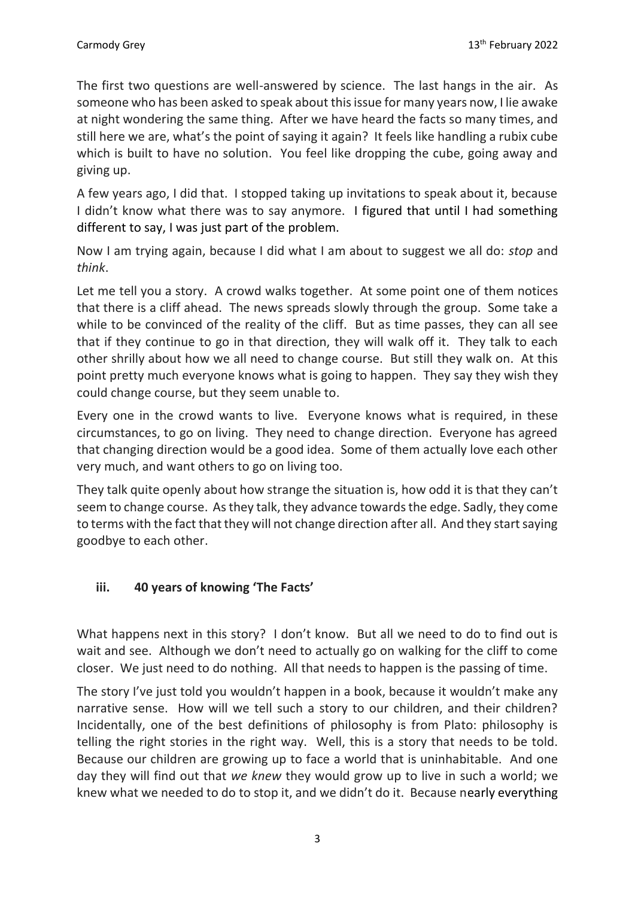The first two questions are well-answered by science. The last hangs in the air. As someone who has been asked to speak about this issue for many years now, I lie awake at night wondering the same thing. After we have heard the facts so many times, and still here we are, what's the point of saying it again? It feels like handling a rubix cube which is built to have no solution. You feel like dropping the cube, going away and giving up.

A few years ago, I did that. I stopped taking up invitations to speak about it, because I didn't know what there was to say anymore. I figured that until I had something different to say, I was just part of the problem.

Now I am trying again, because I did what I am about to suggest we all do: *stop* and *think*.

Let me tell you a story. A crowd walks together. At some point one of them notices that there is a cliff ahead. The news spreads slowly through the group. Some take a while to be convinced of the reality of the cliff. But as time passes, they can all see that if they continue to go in that direction, they will walk off it. They talk to each other shrilly about how we all need to change course. But still they walk on. At this point pretty much everyone knows what is going to happen. They say they wish they could change course, but they seem unable to.

Every one in the crowd wants to live. Everyone knows what is required, in these circumstances, to go on living. They need to change direction. Everyone has agreed that changing direction would be a good idea. Some of them actually love each other very much, and want others to go on living too.

They talk quite openly about how strange the situation is, how odd it is that they can't seem to change course. As they talk, they advance towards the edge. Sadly, they come to terms with the fact that they will not change direction after all. And they start saying goodbye to each other.

### **iii. 40 years of knowing 'The Facts'**

What happens next in this story? I don't know. But all we need to do to find out is wait and see. Although we don't need to actually go on walking for the cliff to come closer. We just need to do nothing. All that needs to happen is the passing of time.

The story I've just told you wouldn't happen in a book, because it wouldn't make any narrative sense. How will we tell such a story to our children, and their children? Incidentally, one of the best definitions of philosophy is from Plato: philosophy is telling the right stories in the right way. Well, this is a story that needs to be told. Because our children are growing up to face a world that is uninhabitable. And one day they will find out that *we knew* they would grow up to live in such a world; we knew what we needed to do to stop it, and we didn't do it. Because nearly everything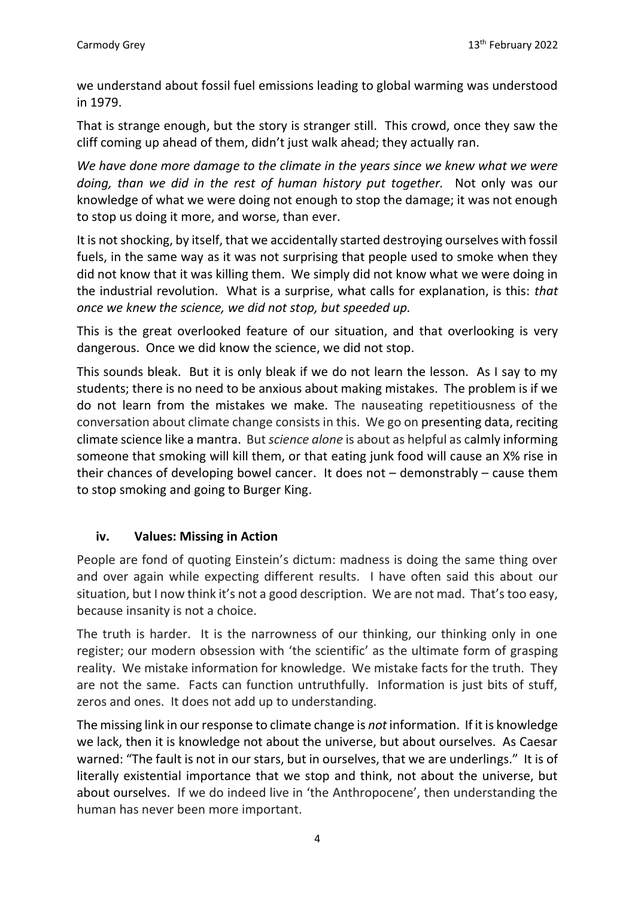we understand about fossil fuel emissions leading to global warming was understood in 1979.

That is strange enough, but the story is stranger still. This crowd, once they saw the cliff coming up ahead of them, didn't just walk ahead; they actually ran.

*We have done more damage to the climate in the years since we knew what we were doing, than we did in the rest of human history put together.* Not only was our knowledge of what we were doing not enough to stop the damage; it was not enough to stop us doing it more, and worse, than ever.

It is not shocking, by itself, that we accidentally started destroying ourselves with fossil fuels, in the same way as it was not surprising that people used to smoke when they did not know that it was killing them. We simply did not know what we were doing in the industrial revolution. What is a surprise, what calls for explanation, is this: *that once we knew the science, we did not stop, but speeded up.* 

This is the great overlooked feature of our situation, and that overlooking is very dangerous. Once we did know the science, we did not stop.

This sounds bleak. But it is only bleak if we do not learn the lesson. As I say to my students; there is no need to be anxious about making mistakes. The problem is if we do not learn from the mistakes we make. The nauseating repetitiousness of the conversation about climate change consists in this. We go on presenting data, reciting climate science like a mantra. But *science alone* is about as helpful as calmly informing someone that smoking will kill them, or that eating junk food will cause an X% rise in their chances of developing bowel cancer. It does not – demonstrably – cause them to stop smoking and going to Burger King.

# **iv. Values: Missing in Action**

People are fond of quoting Einstein's dictum: madness is doing the same thing over and over again while expecting different results. I have often said this about our situation, but I now think it's not a good description. We are not mad. That's too easy, because insanity is not a choice.

The truth is harder. It is the narrowness of our thinking, our thinking only in one register; our modern obsession with 'the scientific' as the ultimate form of grasping reality. We mistake information for knowledge. We mistake facts for the truth. They are not the same. Facts can function untruthfully. Information is just bits of stuff, zeros and ones. It does not add up to understanding.

The missing link in our response to climate change is *not* information. If it is knowledge we lack, then it is knowledge not about the universe, but about ourselves. As Caesar warned: "The fault is not in our stars, but in ourselves, that we are underlings." It is of literally existential importance that we stop and think, not about the universe, but about ourselves. If we do indeed live in 'the Anthropocene', then understanding the human has never been more important.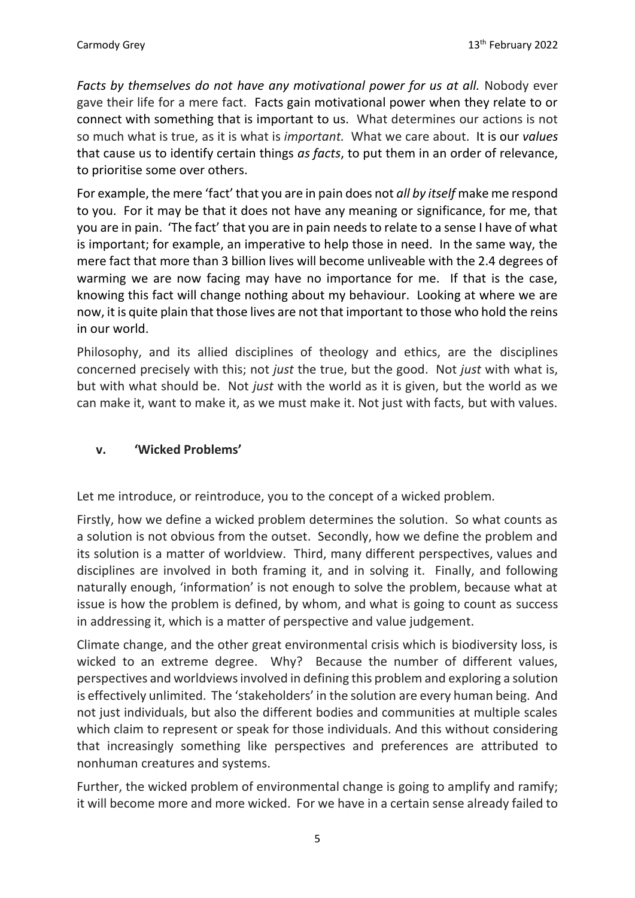*Facts by themselves do not have any motivational power for us at all.* Nobody ever gave their life for a mere fact. Facts gain motivational power when they relate to or connect with something that is important to us. What determines our actions is not so much what is true, as it is what is *important.* What we care about. It is our *values* that cause us to identify certain things *as facts*, to put them in an order of relevance, to prioritise some over others.

For example, the mere 'fact' that you are in pain does not *all by itself* make me respond to you. For it may be that it does not have any meaning or significance, for me, that you are in pain. 'The fact' that you are in pain needs to relate to a sense I have of what is important; for example, an imperative to help those in need. In the same way, the mere fact that more than 3 billion lives will become unliveable with the 2.4 degrees of warming we are now facing may have no importance for me. If that is the case, knowing this fact will change nothing about my behaviour. Looking at where we are now, it is quite plain that those lives are not that important to those who hold the reins in our world.

Philosophy, and its allied disciplines of theology and ethics, are the disciplines concerned precisely with this; not *just* the true, but the good. Not *just* with what is, but with what should be. Not *just* with the world as it is given, but the world as we can make it, want to make it, as we must make it. Not just with facts, but with values.

### **v. 'Wicked Problems'**

Let me introduce, or reintroduce, you to the concept of a wicked problem.

Firstly, how we define a wicked problem determines the solution. So what counts as a solution is not obvious from the outset. Secondly, how we define the problem and its solution is a matter of worldview. Third, many different perspectives, values and disciplines are involved in both framing it, and in solving it. Finally, and following naturally enough, 'information' is not enough to solve the problem, because what at issue is how the problem is defined, by whom, and what is going to count as success in addressing it, which is a matter of perspective and value judgement.

Climate change, and the other great environmental crisis which is biodiversity loss, is wicked to an extreme degree. Why? Because the number of different values, perspectives and worldviews involved in defining this problem and exploring a solution is effectively unlimited. The 'stakeholders' in the solution are every human being. And not just individuals, but also the different bodies and communities at multiple scales which claim to represent or speak for those individuals. And this without considering that increasingly something like perspectives and preferences are attributed to nonhuman creatures and systems.

Further, the wicked problem of environmental change is going to amplify and ramify; it will become more and more wicked. For we have in a certain sense already failed to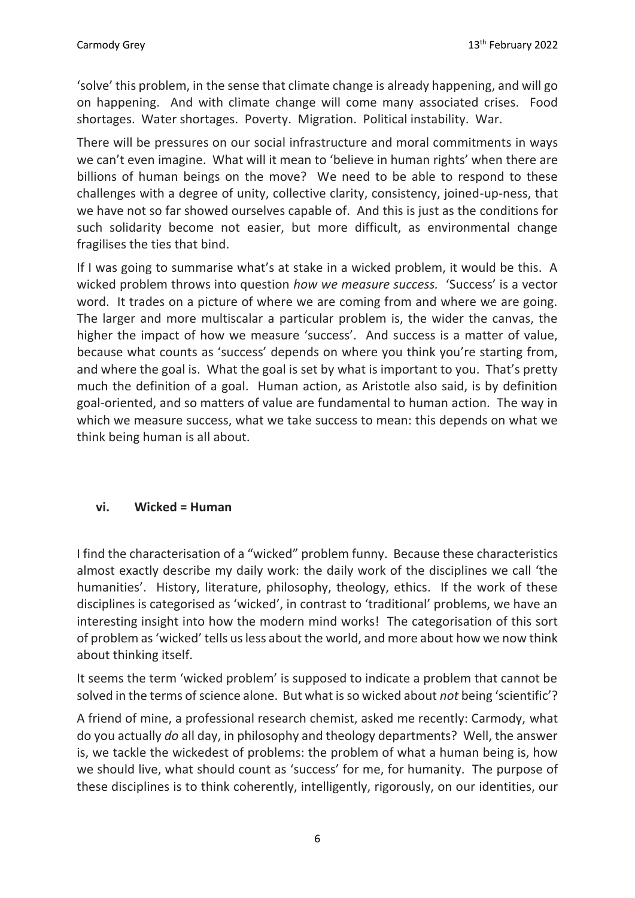'solve' this problem, in the sense that climate change is already happening, and will go on happening. And with climate change will come many associated crises. Food shortages. Water shortages. Poverty. Migration. Political instability. War.

There will be pressures on our social infrastructure and moral commitments in ways we can't even imagine. What will it mean to 'believe in human rights' when there are billions of human beings on the move? We need to be able to respond to these challenges with a degree of unity, collective clarity, consistency, joined-up-ness, that we have not so far showed ourselves capable of. And this is just as the conditions for such solidarity become not easier, but more difficult, as environmental change fragilises the ties that bind.

If I was going to summarise what's at stake in a wicked problem, it would be this. A wicked problem throws into question *how we measure success.* 'Success' is a vector word. It trades on a picture of where we are coming from and where we are going. The larger and more multiscalar a particular problem is, the wider the canvas, the higher the impact of how we measure 'success'. And success is a matter of value, because what counts as 'success' depends on where you think you're starting from, and where the goal is. What the goal is set by what is important to you. That's pretty much the definition of a goal. Human action, as Aristotle also said, is by definition goal-oriented, and so matters of value are fundamental to human action. The way in which we measure success, what we take success to mean: this depends on what we think being human is all about.

# **vi. Wicked = Human**

I find the characterisation of a "wicked" problem funny. Because these characteristics almost exactly describe my daily work: the daily work of the disciplines we call 'the humanities'. History, literature, philosophy, theology, ethics. If the work of these disciplines is categorised as 'wicked', in contrast to 'traditional' problems, we have an interesting insight into how the modern mind works! The categorisation of this sort of problem as 'wicked' tells us less about the world, and more about how we now think about thinking itself.

It seems the term 'wicked problem' is supposed to indicate a problem that cannot be solved in the terms of science alone. But what is so wicked about *not* being 'scientific'?

A friend of mine, a professional research chemist, asked me recently: Carmody, what do you actually *do* all day, in philosophy and theology departments? Well, the answer is, we tackle the wickedest of problems: the problem of what a human being is, how we should live, what should count as 'success' for me, for humanity. The purpose of these disciplines is to think coherently, intelligently, rigorously, on our identities, our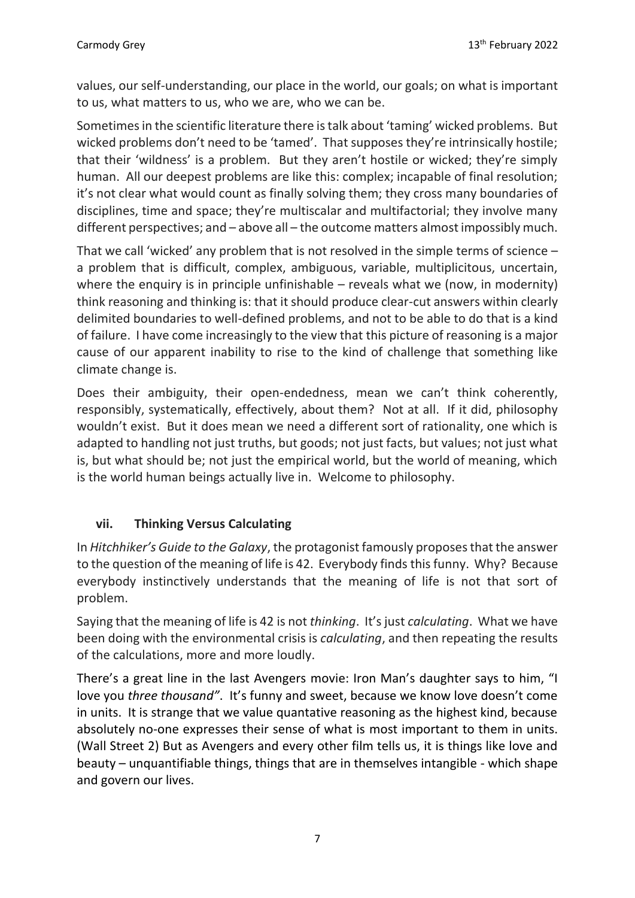values, our self-understanding, our place in the world, our goals; on what is important to us, what matters to us, who we are, who we can be.

Sometimes in the scientific literature there is talk about 'taming' wicked problems. But wicked problems don't need to be 'tamed'. That supposes they're intrinsically hostile; that their 'wildness' is a problem. But they aren't hostile or wicked; they're simply human. All our deepest problems are like this: complex; incapable of final resolution; it's not clear what would count as finally solving them; they cross many boundaries of disciplines, time and space; they're multiscalar and multifactorial; they involve many different perspectives; and – above all – the outcome matters almost impossibly much.

That we call 'wicked' any problem that is not resolved in the simple terms of science – a problem that is difficult, complex, ambiguous, variable, multiplicitous, uncertain, where the enquiry is in principle unfinishable  $-$  reveals what we (now, in modernity) think reasoning and thinking is: that it should produce clear-cut answers within clearly delimited boundaries to well-defined problems, and not to be able to do that is a kind of failure. I have come increasingly to the view that this picture of reasoning is a major cause of our apparent inability to rise to the kind of challenge that something like climate change is.

Does their ambiguity, their open-endedness, mean we can't think coherently, responsibly, systematically, effectively, about them? Not at all. If it did, philosophy wouldn't exist. But it does mean we need a different sort of rationality, one which is adapted to handling not just truths, but goods; not just facts, but values; not just what is, but what should be; not just the empirical world, but the world of meaning, which is the world human beings actually live in. Welcome to philosophy.

# **vii. Thinking Versus Calculating**

In *Hitchhiker's Guide to the Galaxy*, the protagonist famously proposesthat the answer to the question of the meaning of life is 42. Everybody finds this funny. Why? Because everybody instinctively understands that the meaning of life is not that sort of problem.

Saying that the meaning of life is 42 is not *thinking*. It'sjust *calculating*. What we have been doing with the environmental crisis is *calculating*, and then repeating the results of the calculations, more and more loudly.

There's a great line in the last Avengers movie: Iron Man's daughter says to him, "I love you *three thousand"*. It's funny and sweet, because we know love doesn't come in units. It is strange that we value quantative reasoning as the highest kind, because absolutely no-one expresses their sense of what is most important to them in units. (Wall Street 2) But as Avengers and every other film tells us, it is things like love and beauty – unquantifiable things, things that are in themselves intangible - which shape and govern our lives.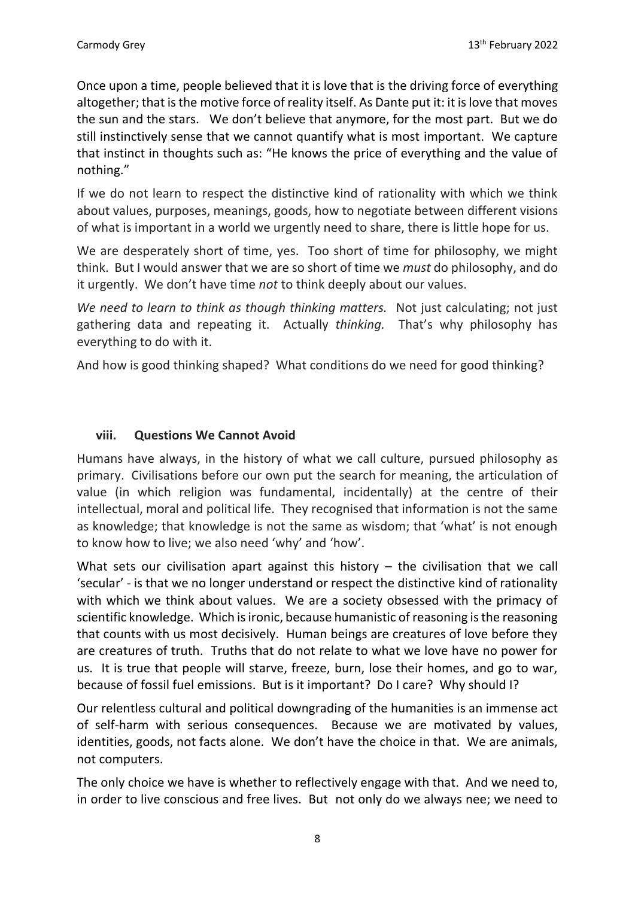Once upon a time, people believed that it is love that is the driving force of everything altogether; that is the motive force of reality itself. As Dante put it: it is love that moves the sun and the stars. We don't believe that anymore, for the most part. But we do still instinctively sense that we cannot quantify what is most important. We capture that instinct in thoughts such as: "He knows the price of everything and the value of nothing."

If we do not learn to respect the distinctive kind of rationality with which we think about values, purposes, meanings, goods, how to negotiate between different visions of what is important in a world we urgently need to share, there is little hope for us.

We are desperately short of time, yes. Too short of time for philosophy, we might think. But I would answer that we are so short of time we *must* do philosophy, and do it urgently. We don't have time *not* to think deeply about our values.

*We need to learn to think as though thinking matters.* Not just calculating; not just gathering data and repeating it. Actually *thinking.* That's why philosophy has everything to do with it.

And how is good thinking shaped? What conditions do we need for good thinking?

### **viii. Questions We Cannot Avoid**

Humans have always, in the history of what we call culture, pursued philosophy as primary. Civilisations before our own put the search for meaning, the articulation of value (in which religion was fundamental, incidentally) at the centre of their intellectual, moral and political life. They recognised that information is not the same as knowledge; that knowledge is not the same as wisdom; that 'what' is not enough to know how to live; we also need 'why' and 'how'.

What sets our civilisation apart against this history  $-$  the civilisation that we call 'secular' - is that we no longer understand or respect the distinctive kind of rationality with which we think about values. We are a society obsessed with the primacy of scientific knowledge. Which is ironic, because humanistic of reasoning is the reasoning that counts with us most decisively. Human beings are creatures of love before they are creatures of truth. Truths that do not relate to what we love have no power for us. It is true that people will starve, freeze, burn, lose their homes, and go to war, because of fossil fuel emissions. But is it important? Do I care? Why should I?

Our relentless cultural and political downgrading of the humanities is an immense act of self-harm with serious consequences. Because we are motivated by values, identities, goods, not facts alone. We don't have the choice in that. We are animals, not computers.

The only choice we have is whether to reflectively engage with that. And we need to, in order to live conscious and free lives. But not only do we always nee; we need to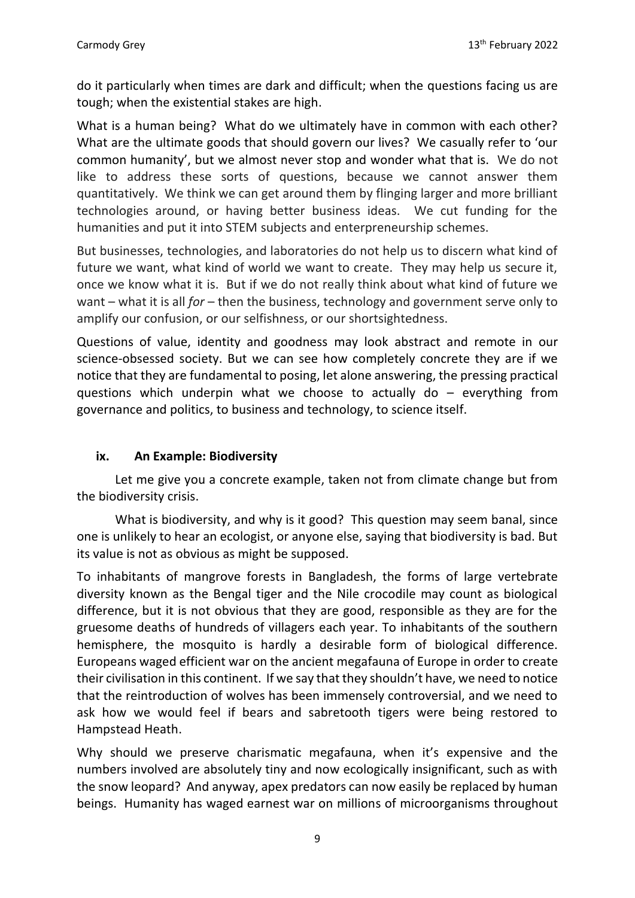do it particularly when times are dark and difficult; when the questions facing us are tough; when the existential stakes are high.

What is a human being? What do we ultimately have in common with each other? What are the ultimate goods that should govern our lives? We casually refer to 'our common humanity', but we almost never stop and wonder what that is. We do not like to address these sorts of questions, because we cannot answer them quantitatively. We think we can get around them by flinging larger and more brilliant technologies around, or having better business ideas. We cut funding for the humanities and put it into STEM subjects and enterpreneurship schemes.

But businesses, technologies, and laboratories do not help us to discern what kind of future we want, what kind of world we want to create. They may help us secure it, once we know what it is. But if we do not really think about what kind of future we want – what it is all *for* – then the business, technology and government serve only to amplify our confusion, or our selfishness, or our shortsightedness.

Questions of value, identity and goodness may look abstract and remote in our science-obsessed society. But we can see how completely concrete they are if we notice that they are fundamental to posing, let alone answering, the pressing practical questions which underpin what we choose to actually do – everything from governance and politics, to business and technology, to science itself.

### **ix. An Example: Biodiversity**

Let me give you a concrete example, taken not from climate change but from the biodiversity crisis.

What is biodiversity, and why is it good? This question may seem banal, since one is unlikely to hear an ecologist, or anyone else, saying that biodiversity is bad. But its value is not as obvious as might be supposed.

To inhabitants of mangrove forests in Bangladesh, the forms of large vertebrate diversity known as the Bengal tiger and the Nile crocodile may count as biological difference, but it is not obvious that they are good, responsible as they are for the gruesome deaths of hundreds of villagers each year. To inhabitants of the southern hemisphere, the mosquito is hardly a desirable form of biological difference. Europeans waged efficient war on the ancient megafauna of Europe in order to create their civilisation in this continent. If we say that they shouldn't have, we need to notice that the reintroduction of wolves has been immensely controversial, and we need to ask how we would feel if bears and sabretooth tigers were being restored to Hampstead Heath.

Why should we preserve charismatic megafauna, when it's expensive and the numbers involved are absolutely tiny and now ecologically insignificant, such as with the snow leopard? And anyway, apex predators can now easily be replaced by human beings. Humanity has waged earnest war on millions of microorganisms throughout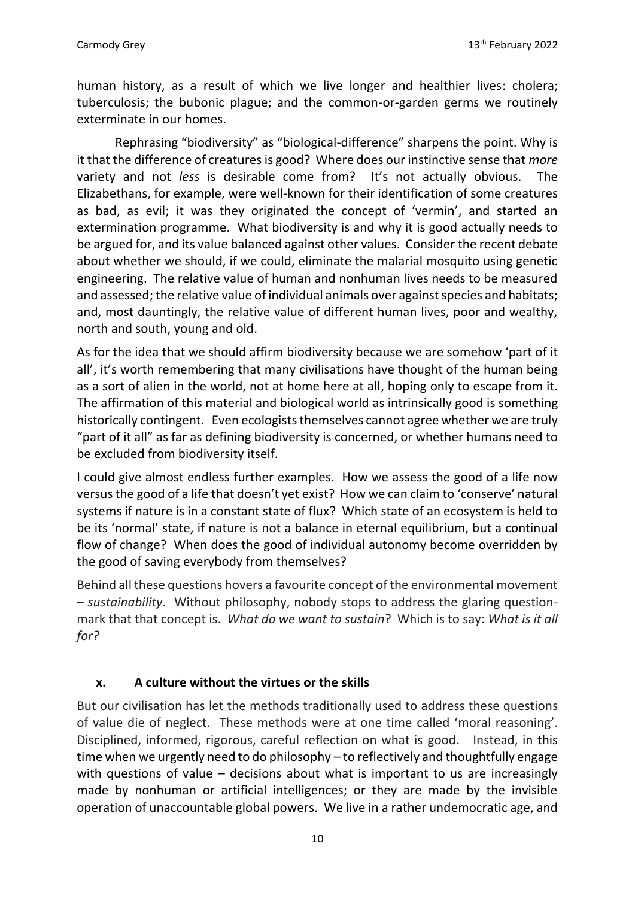human history, as a result of which we live longer and healthier lives: cholera; tuberculosis; the bubonic plague; and the common-or-garden germs we routinely exterminate in our homes.

Rephrasing "biodiversity" as "biological-difference" sharpens the point. Why is it that the difference of creatures is good? Where does our instinctive sense that *more* variety and not *less* is desirable come from? It's not actually obvious. The Elizabethans, for example, were well-known for their identification of some creatures as bad, as evil; it was they originated the concept of 'vermin', and started an extermination programme. What biodiversity is and why it is good actually needs to be argued for, and its value balanced against other values. Consider the recent debate about whether we should, if we could, eliminate the malarial mosquito using genetic engineering. The relative value of human and nonhuman lives needs to be measured and assessed; the relative value of individual animals over against species and habitats; and, most dauntingly, the relative value of different human lives, poor and wealthy, north and south, young and old.

As for the idea that we should affirm biodiversity because we are somehow 'part of it all', it's worth remembering that many civilisations have thought of the human being as a sort of alien in the world, not at home here at all, hoping only to escape from it. The affirmation of this material and biological world as intrinsically good is something historically contingent. Even ecologists themselves cannot agree whether we are truly "part of it all" as far as defining biodiversity is concerned, or whether humans need to be excluded from biodiversity itself.

I could give almost endless further examples. How we assess the good of a life now versus the good of a life that doesn't yet exist? How we can claim to 'conserve' natural systems if nature is in a constant state of flux? Which state of an ecosystem is held to be its 'normal' state, if nature is not a balance in eternal equilibrium, but a continual flow of change? When does the good of individual autonomy become overridden by the good of saving everybody from themselves?

Behind all these questions hovers a favourite concept of the environmental movement – *sustainability*. Without philosophy, nobody stops to address the glaring questionmark that that concept is. *What do we want to sustain*? Which is to say: *What is it all for?*

### **x. A culture without the virtues or the skills**

But our civilisation has let the methods traditionally used to address these questions of value die of neglect. These methods were at one time called 'moral reasoning'. Disciplined, informed, rigorous, careful reflection on what is good. Instead, in this time when we urgently need to do philosophy – to reflectively and thoughtfully engage with questions of value – decisions about what is important to us are increasingly made by nonhuman or artificial intelligences; or they are made by the invisible operation of unaccountable global powers. We live in a rather undemocratic age, and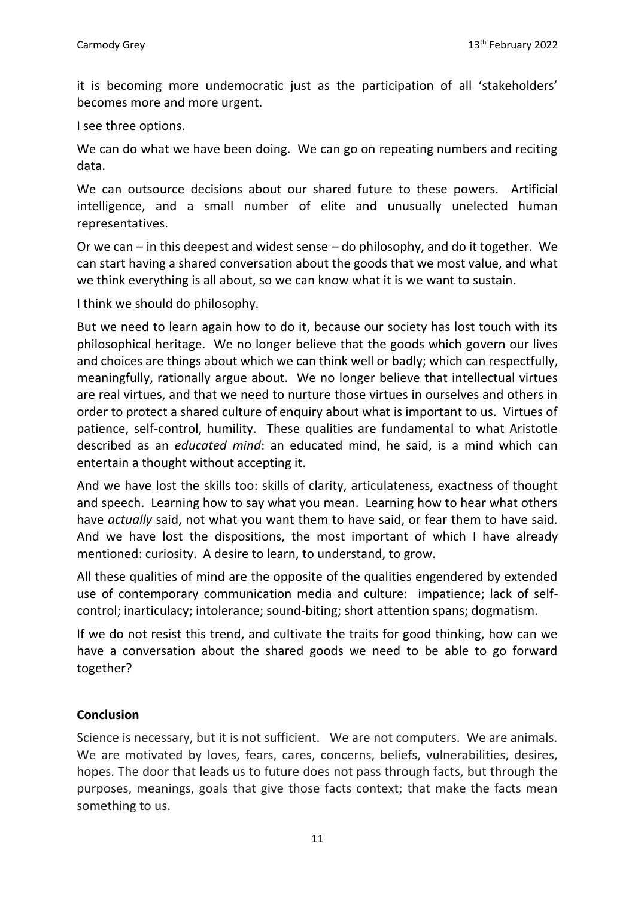it is becoming more undemocratic just as the participation of all 'stakeholders' becomes more and more urgent.

I see three options.

We can do what we have been doing. We can go on repeating numbers and reciting data.

We can outsource decisions about our shared future to these powers. Artificial intelligence, and a small number of elite and unusually unelected human representatives.

Or we can – in this deepest and widest sense – do philosophy, and do it together. We can start having a shared conversation about the goods that we most value, and what we think everything is all about, so we can know what it is we want to sustain.

I think we should do philosophy.

But we need to learn again how to do it, because our society has lost touch with its philosophical heritage. We no longer believe that the goods which govern our lives and choices are things about which we can think well or badly; which can respectfully, meaningfully, rationally argue about. We no longer believe that intellectual virtues are real virtues, and that we need to nurture those virtues in ourselves and others in order to protect a shared culture of enquiry about what is important to us. Virtues of patience, self-control, humility. These qualities are fundamental to what Aristotle described as an *educated mind*: an educated mind, he said, is a mind which can entertain a thought without accepting it.

And we have lost the skills too: skills of clarity, articulateness, exactness of thought and speech. Learning how to say what you mean. Learning how to hear what others have *actually* said, not what you want them to have said, or fear them to have said. And we have lost the dispositions, the most important of which I have already mentioned: curiosity. A desire to learn, to understand, to grow.

All these qualities of mind are the opposite of the qualities engendered by extended use of contemporary communication media and culture: impatience; lack of selfcontrol; inarticulacy; intolerance; sound-biting; short attention spans; dogmatism.

If we do not resist this trend, and cultivate the traits for good thinking, how can we have a conversation about the shared goods we need to be able to go forward together?

### **Conclusion**

Science is necessary, but it is not sufficient. We are not computers. We are animals. We are motivated by loves, fears, cares, concerns, beliefs, vulnerabilities, desires, hopes. The door that leads us to future does not pass through facts, but through the purposes, meanings, goals that give those facts context; that make the facts mean something to us.